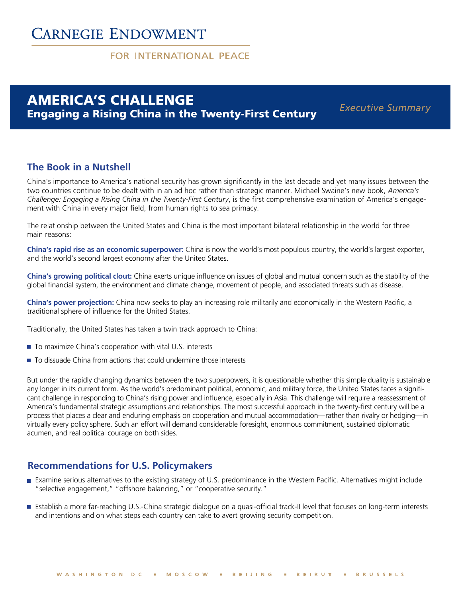# **CARNEGIE ENDOWMENT**

### FOR INTERNATIONAL PFACE

## AMERICA'S CHALLENGE Engaging a Rising China in the Twenty-First Century

*Executive Summary*

### **The Book in a Nutshell**

China's importance to America's national security has grown significantly in the last decade and yet many issues between the two countries continue to be dealt with in an ad hoc rather than strategic manner. Michael Swaine's new book, *America's Challenge: Engaging a Rising China in the Twenty-First Century*, is the first comprehensive examination of America's engagement with China in every major field, from human rights to sea primacy.

The relationship between the United States and China is the most important bilateral relationship in the world for three main reasons:

**China's rapid rise as an economic superpower:** China is now the world's most populous country, the world's largest exporter, and the world's second largest economy after the United States.

**China's growing political clout:** China exerts unique influence on issues of global and mutual concern such as the stability of the global financial system, the environment and climate change, movement of people, and associated threats such as disease.

**China's power projection:** China now seeks to play an increasing role militarily and economically in the Western Pacific, a traditional sphere of influence for the United States.

Traditionally, the United States has taken a twin track approach to China:

- To maximize China's cooperation with vital U.S. interests
- To dissuade China from actions that could undermine those interests

But under the rapidly changing dynamics between the two superpowers, it is questionable whether this simple duality is sustainable any longer in its current form. As the world's predominant political, economic, and military force, the United States faces a significant challenge in responding to China's rising power and influence, especially in Asia. This challenge will require a reassessment of America's fundamental strategic assumptions and relationships. The most successful approach in the twenty-first century will be a process that places a clear and enduring emphasis on cooperation and mutual accommodation—rather than rivalry or hedging—in virtually every policy sphere. Such an effort will demand considerable foresight, enormous commitment, sustained diplomatic acumen, and real political courage on both sides.

### **Recommendations for U.S. Policymakers**

- Examine serious alternatives to the existing strategy of U.S. predominance in the Western Pacific. Alternatives might include "selective engagement," "offshore balancing," or "cooperative security."
- Establish a more far-reaching U.S.-China strategic dialogue on a quasi-official track-II level that focuses on long-term interests and intentions and on what steps each country can take to avert growing security competition.